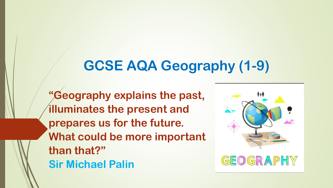# **GCSE AQA Geography (1-9)**

**"Geography explains the past, illuminates the present and prepares us for the future. What could be more important than that?" Sir Michael Palin**

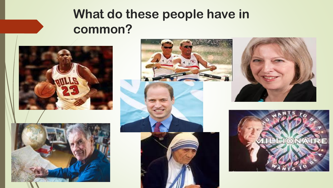## **What do these people have in common?**









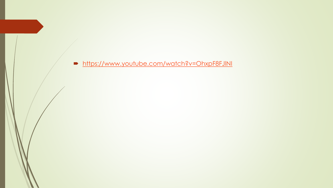• https://www.youtube.com/watch?v=OhxpF8FJINI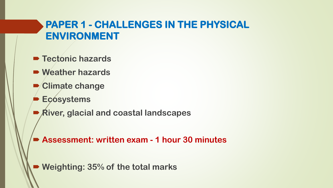### **PAPER 1 - CHALLENGES IN THE PHYSICAL ENVIRONMENT**

- **P** Tectonic hazards
- **Weather hazards**
- **Climate change**
- **Ecosystems**
- **River, glacial and coastal landscapes**

**Assessment: written exam - 1 hour 30 minutes** 

**Weighting: 35% of the total marks**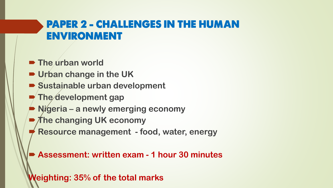### **PAPER 2 - CHALLENGES IN THE HUMAN ENVIRONMENT**

- **The urban world**
- **Urban change in the UK**
- **Sustainable urban development**
- **The development gap**
- **Nigeria – a newly emerging economy**
- The changing UK economy
- **Resource management - food, water, energy**

**Assessment: written exam - 1 hour 30 minutes** 

**Weighting: 35% of the total marks**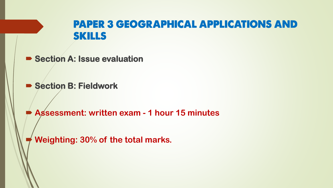### **PAPER 3 GEOGRAPHICAL APPLICATIONS AND SKILLS**

**Section A: Issue evaluation** 

 $\blacktriangleright$  **Section B: Fieldwork** 

**Assessment: written exam - 1 hour 15 minutes** 

**Weighting: 30% of the total marks.**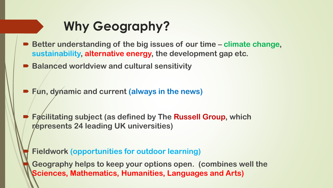## **Why Geography?**

- Better understanding of the big issues of our time climate change, **sustainability, alternative energy, the development gap etc.**
- Balanced worldview and cultural sensitivity
- **Fun, dynamic and current (always in the news)**
	- **Facilitating subject (as defined by The Russell Group, which represents 24 leading UK universities)**

**Fieldwork (opportunities for outdoor learning)**

 **Geography helps to keep your options open. (combines well the Sciences, Mathematics, Humanities, Languages and Arts)**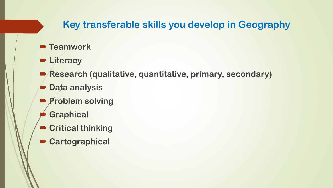### **Key transferable skills you develop in Geography**

- **P** Teamwork
- **Literacy**
- **Research (qualitative, quantitative, primary, secondary)**
- **Data analysis**
- **Problem solving**
- **Graphical**
- **Critical thinking**
- **Cartographical**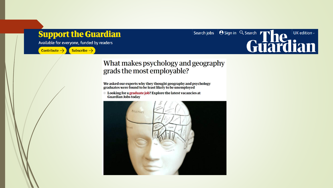#### **Support the Guardian**

Available for everyone, funded by readers

Contribute  $\rightarrow$  Subscribe  $\rightarrow$ 

Search jobs | O Sign in Q Search | The UK edition

#### What makes psychology and geography grads the most employable?

We asked our experts why they thought geography and psychology<br>graduates were found to be least likely to be unemployed

**Explore the latest vacancies at The Latest Vacancies at Guardian Jobs today**